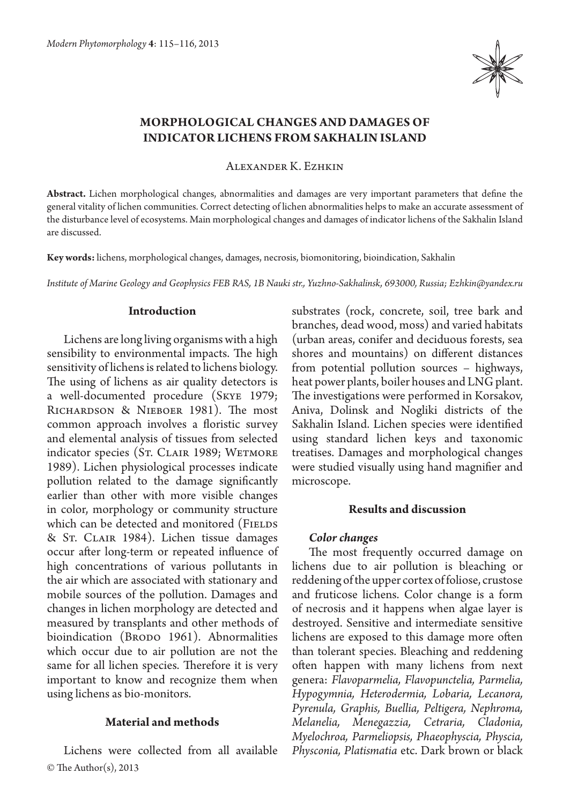

# **Morphological changes and damages of indicator lichens from Sakhalin Island**

Alexander K. Ezhkin

**Abstract.** Lichen morphological changes, abnormalities and damages are very important parameters that define the general vitality of lichen communities. Correct detecting of lichen abnormalities helps to make an accurate assessment of the disturbance level of ecosystems. Main morphological changes and damages of indicator lichens of the Sakhalin Island are discussed.

**Key words:** lichens, morphological changes, damages, necrosis, biomonitoring, bioindication, Sakhalin

*Institute of Marine Geology and Geophysics FEB RAS, 1B Nauki str., Yuzhno-Sakhalinsk, 693000, Russia; Ezhkin@yandex.ru*

### **Introduction**

Lichens are long living organisms with a high sensibility to environmental impacts. The high sensitivity of lichens is related to lichens biology. The using of lichens as air quality detectors is a well-documented procedure (Skye 1979; Richardson & Nieboer 1981). The most common approach involves a floristic survey and elemental analysis of tissues from selected indicator species (St. CLAIR 1989; WETMORE 1989). Lichen physiological processes indicate pollution related to the damage significantly earlier than other with more visible changes in color, morphology or community structure which can be detected and monitored (FIELDS & St. Clair 1984). Lichen tissue damages occur after long-term or repeated influence of high concentrations of various pollutants in the air which are associated with stationary and mobile sources of the pollution. Damages and changes in lichen morphology are detected and measured by transplants and other methods of bioindication (BRODO 1961). Abnormalities which occur due to air pollution are not the same for all lichen species. Therefore it is very important to know and recognize them when using lichens as bio-monitors.

## **Material and methods**

© The Author(s), 2013 Lichens were collected from all available substrates (rock, concrete, soil, tree bark and branches, dead wood, moss) and varied habitats (urban areas, conifer and deciduous forests, sea shores and mountains) on different distances from potential pollution sources – highways, heat power plants, boiler houses and LNG plant. The investigations were performed in Korsakov, Aniva, Dolinsk and Nogliki districts of the Sakhalin Island. Lichen species were identified using standard lichen keys and taxonomic treatises. Damages and morphological changes were studied visually using hand magnifier and microscope.

### **Results and discussion**

### *Color changes*

The most frequently occurred damage on lichens due to air pollution is bleaching or reddening of the upper cortex of foliose, crustose and fruticose lichens. Color change is a form of necrosis and it happens when algae layer is destroyed. Sensitive and intermediate sensitive lichens are exposed to this damage more often than tolerant species. Bleaching and reddening often happen with many lichens from next genera: *Flavoparmelia, Flavopunctelia, Parmelia, Hypogymnia, Heterodermia, Lobaria, Lecanora, Pyrenula, Graphis, Buellia, Peltigera, Nephroma, Melanelia, Menegazzia, Cetraria, Cladonia, Myelochroa, Parmeliopsis, Phaeophyscia, Physcia, Physconia, Platismatia* etc. Dark brown or black